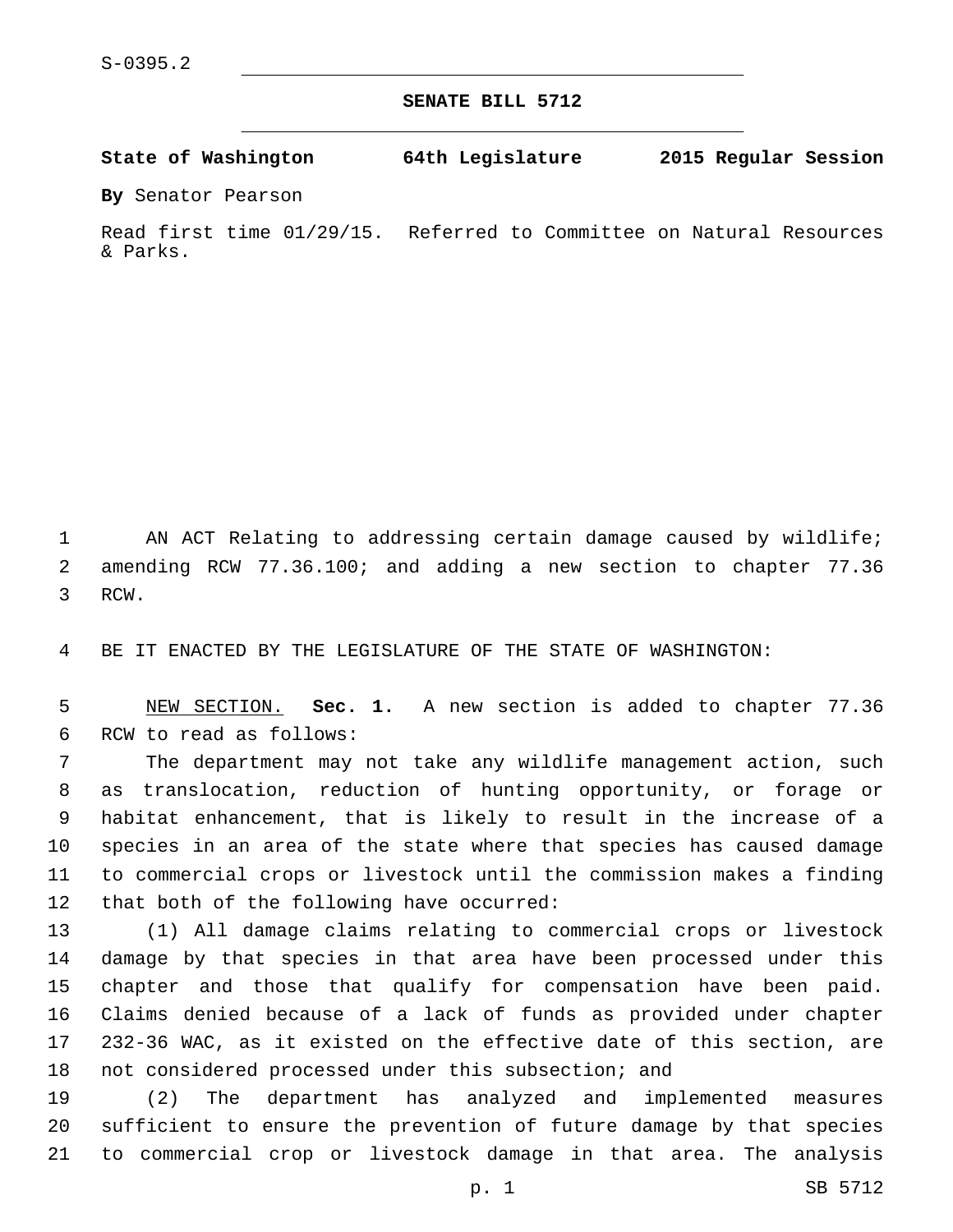**SENATE BILL 5712**

**State of Washington 64th Legislature 2015 Regular Session**

**By** Senator Pearson

Read first time 01/29/15. Referred to Committee on Natural Resources & Parks.

1 AN ACT Relating to addressing certain damage caused by wildlife; amending RCW 77.36.100; and adding a new section to chapter 77.36 3 RCW.

BE IT ENACTED BY THE LEGISLATURE OF THE STATE OF WASHINGTON:

 NEW SECTION. **Sec. 1.** A new section is added to chapter 77.36 6 RCW to read as follows:

 The department may not take any wildlife management action, such as translocation, reduction of hunting opportunity, or forage or habitat enhancement, that is likely to result in the increase of a species in an area of the state where that species has caused damage to commercial crops or livestock until the commission makes a finding 12 that both of the following have occurred:

 (1) All damage claims relating to commercial crops or livestock damage by that species in that area have been processed under this chapter and those that qualify for compensation have been paid. Claims denied because of a lack of funds as provided under chapter 232-36 WAC, as it existed on the effective date of this section, are not considered processed under this subsection; and

 (2) The department has analyzed and implemented measures sufficient to ensure the prevention of future damage by that species to commercial crop or livestock damage in that area. The analysis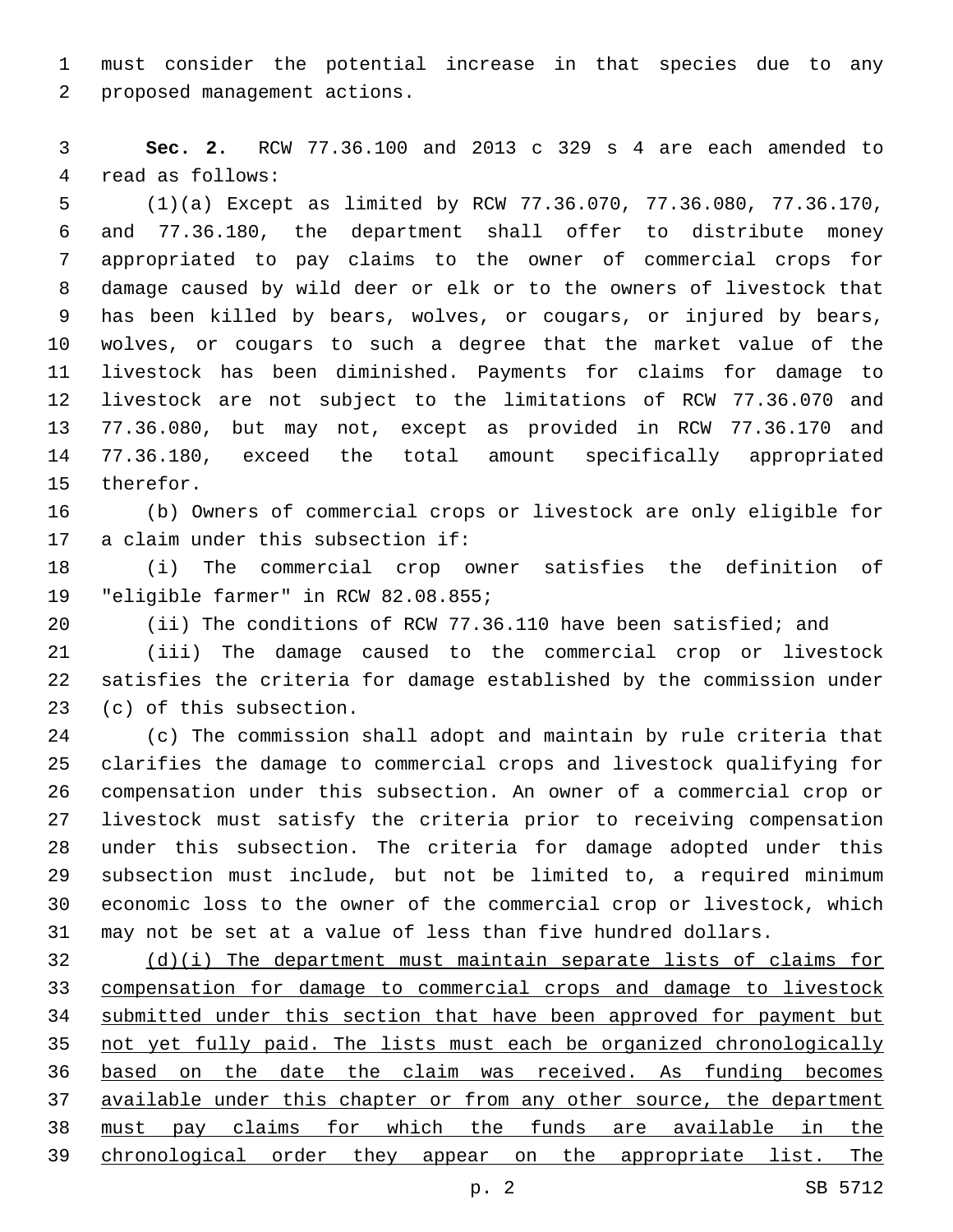must consider the potential increase in that species due to any 2 proposed management actions.

 **Sec. 2.** RCW 77.36.100 and 2013 c 329 s 4 are each amended to 4 read as follows:

 (1)(a) Except as limited by RCW 77.36.070, 77.36.080, 77.36.170, and 77.36.180, the department shall offer to distribute money appropriated to pay claims to the owner of commercial crops for damage caused by wild deer or elk or to the owners of livestock that has been killed by bears, wolves, or cougars, or injured by bears, wolves, or cougars to such a degree that the market value of the livestock has been diminished. Payments for claims for damage to livestock are not subject to the limitations of RCW 77.36.070 and 77.36.080, but may not, except as provided in RCW 77.36.170 and 77.36.180, exceed the total amount specifically appropriated 15 therefor.

 (b) Owners of commercial crops or livestock are only eligible for 17 a claim under this subsection if:

 (i) The commercial crop owner satisfies the definition of 19 "eligible farmer" in RCW 82.08.855;

(ii) The conditions of RCW 77.36.110 have been satisfied; and

 (iii) The damage caused to the commercial crop or livestock satisfies the criteria for damage established by the commission under 23 (c) of this subsection.

 (c) The commission shall adopt and maintain by rule criteria that clarifies the damage to commercial crops and livestock qualifying for compensation under this subsection. An owner of a commercial crop or livestock must satisfy the criteria prior to receiving compensation under this subsection. The criteria for damage adopted under this subsection must include, but not be limited to, a required minimum economic loss to the owner of the commercial crop or livestock, which may not be set at a value of less than five hundred dollars.

 (d)(i) The department must maintain separate lists of claims for compensation for damage to commercial crops and damage to livestock submitted under this section that have been approved for payment but not yet fully paid. The lists must each be organized chronologically based on the date the claim was received. As funding becomes available under this chapter or from any other source, the department must pay claims for which the funds are available in the chronological order they appear on the appropriate list. The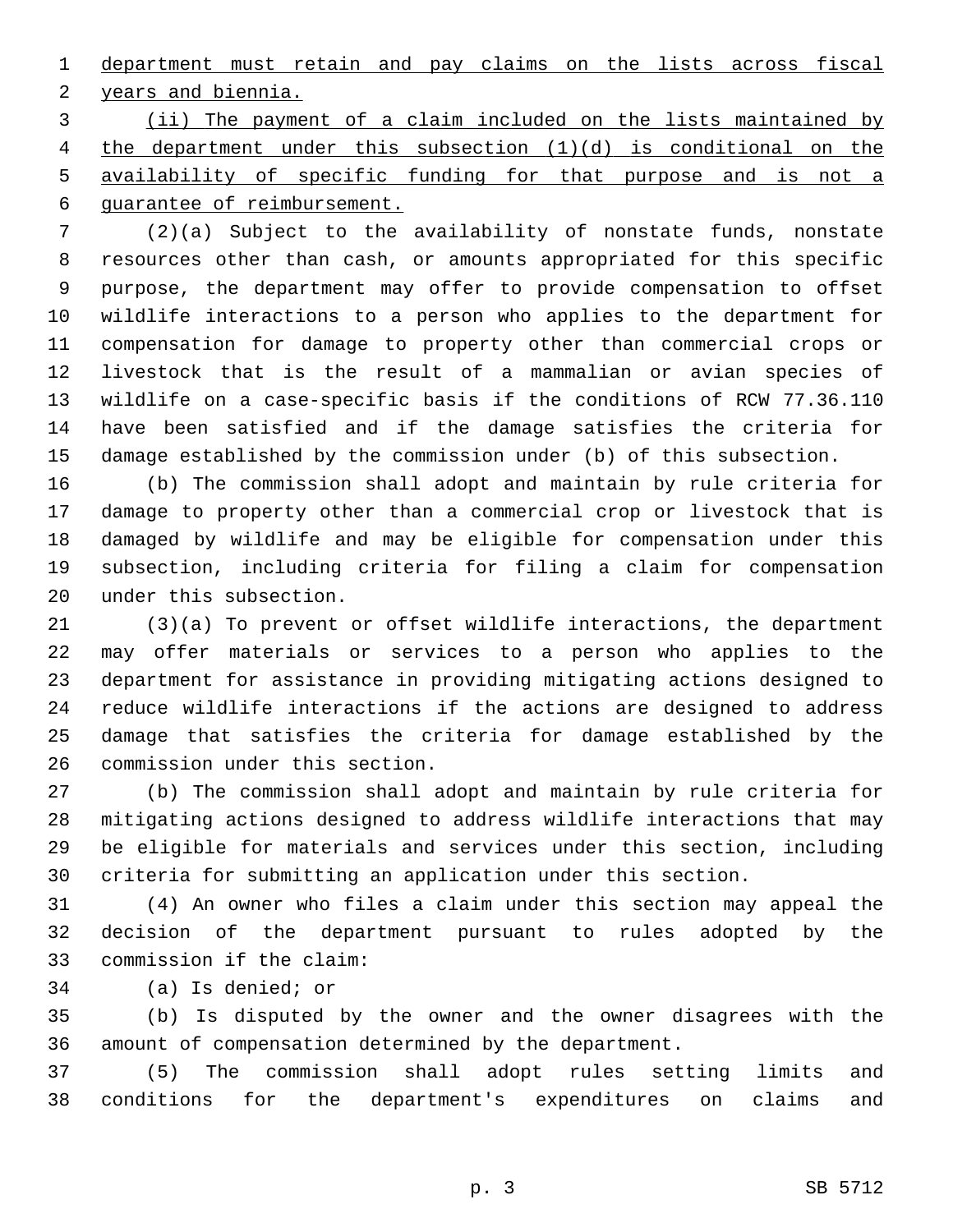department must retain and pay claims on the lists across fiscal 2 years and biennia.

 (ii) The payment of a claim included on the lists maintained by the department under this subsection (1)(d) is conditional on the availability of specific funding for that purpose and is not a guarantee of reimbursement.

 (2)(a) Subject to the availability of nonstate funds, nonstate resources other than cash, or amounts appropriated for this specific purpose, the department may offer to provide compensation to offset wildlife interactions to a person who applies to the department for compensation for damage to property other than commercial crops or livestock that is the result of a mammalian or avian species of wildlife on a case-specific basis if the conditions of RCW 77.36.110 have been satisfied and if the damage satisfies the criteria for damage established by the commission under (b) of this subsection.

 (b) The commission shall adopt and maintain by rule criteria for damage to property other than a commercial crop or livestock that is damaged by wildlife and may be eligible for compensation under this subsection, including criteria for filing a claim for compensation 20 under this subsection.

 (3)(a) To prevent or offset wildlife interactions, the department may offer materials or services to a person who applies to the department for assistance in providing mitigating actions designed to reduce wildlife interactions if the actions are designed to address damage that satisfies the criteria for damage established by the 26 commission under this section.

 (b) The commission shall adopt and maintain by rule criteria for mitigating actions designed to address wildlife interactions that may be eligible for materials and services under this section, including criteria for submitting an application under this section.

 (4) An owner who files a claim under this section may appeal the decision of the department pursuant to rules adopted by the 33 commission if the claim:

34 (a) Is denied; or

 (b) Is disputed by the owner and the owner disagrees with the amount of compensation determined by the department.

 (5) The commission shall adopt rules setting limits and conditions for the department's expenditures on claims and